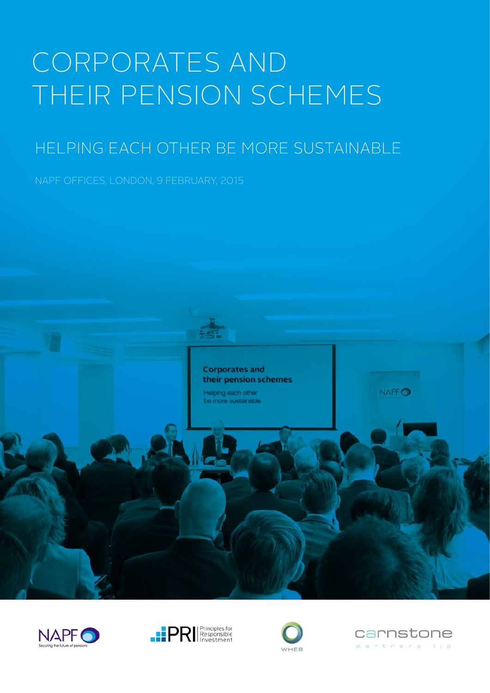# CORPORATES AND THEIR PENSION SCHEMES

# HELPING EACH OTHER BE MORE SUSTAINABLE

NAPF OFFICES, LONDON, 9 FEBRUARY, 2015









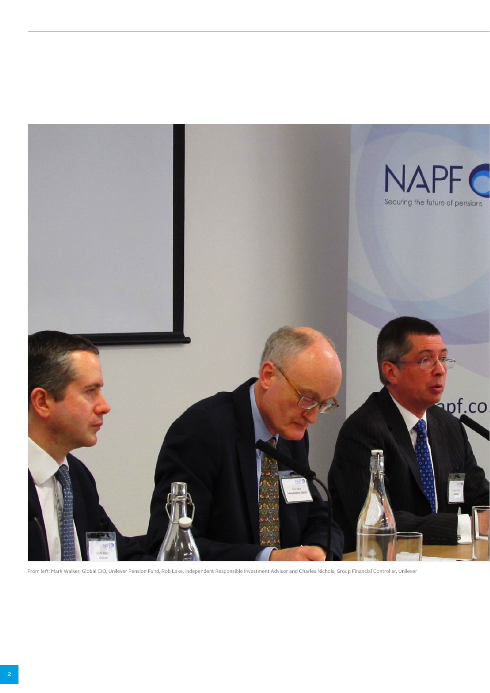

From left: Mark Walker, Global CIO, Unilever Pension Fund, Rob Lake, Independent Responsible Investment Advisor and Charles Nichols, Group Financial Controller, Unilever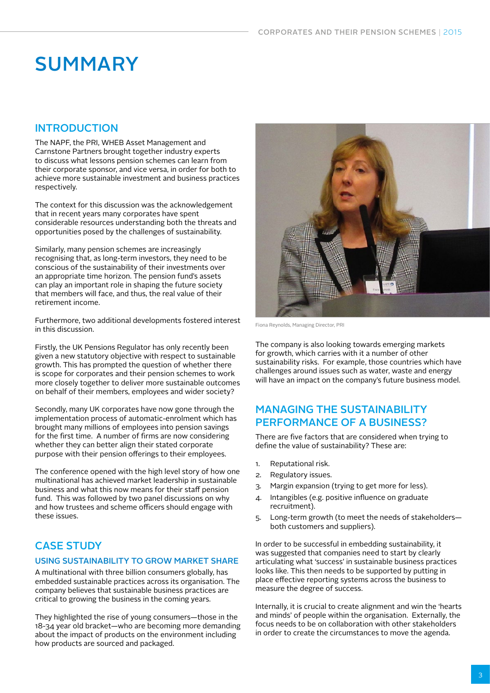# **SUMMARY**

#### **INTRODUCTION**

The NAPF, the PRI, WHEB Asset Management and Carnstone Partners brought together industry experts to discuss what lessons pension schemes can learn from their corporate sponsor, and vice versa, in order for both to achieve more sustainable investment and business practices respectively.

The context for this discussion was the acknowledgement that in recent years many corporates have spent considerable resources understanding both the threats and opportunities posed by the challenges of sustainability.

Similarly, many pension schemes are increasingly recognising that, as long-term investors, they need to be conscious of the sustainability of their investments over an appropriate time horizon. The pension fund's assets can play an important role in shaping the future society that members will face, and thus, the real value of their retirement income.

Furthermore, two additional developments fostered interest in this discussion.

Firstly, the UK Pensions Regulator has only recently been given a new statutory objective with respect to sustainable growth. This has prompted the question of whether there is scope for corporates and their pension schemes to work more closely together to deliver more sustainable outcomes on behalf of their members, employees and wider society?

Secondly, many UK corporates have now gone through the implementation process of automatic-enrolment which has brought many millions of employees into pension savings for the first time. A number of firms are now considering whether they can better align their stated corporate purpose with their pension offerings to their employees.

The conference opened with the high level story of how one multinational has achieved market leadership in sustainable business and what this now means for their staff pension fund. This was followed by two panel discussions on why and how trustees and scheme officers should engage with these issues.

### CASE STUDY

#### USING SUSTAINABILITY TO GROW MARKET SHARE

A multinational with three billion consumers globally, has embedded sustainable practices across its organisation. The company believes that sustainable business practices are critical to growing the business in the coming years.

They highlighted the rise of young consumers—those in the 18-34 year old bracket—who are becoming more demanding about the impact of products on the environment including how products are sourced and packaged.



Fiona Reynolds, Managing Director, PRI

The company is also looking towards emerging markets for growth, which carries with it a number of other sustainability risks. For example, those countries which have challenges around issues such as water, waste and energy will have an impact on the company's future business model.

#### MANAGING THE SUSTAINABILITY PERFORMANCE OF A BUSINESS?

There are five factors that are considered when trying to define the value of sustainability? These are:

- 1. Reputational risk.
- 2. Regulatory issues.
- 3. Margin expansion (trying to get more for less).
- 4. Intangibles (e.g. positive influence on graduate recruitment).
- 5. Long-term growth (to meet the needs of stakeholders both customers and suppliers).

In order to be successful in embedding sustainability, it was suggested that companies need to start by clearly articulating what 'success' in sustainable business practices looks like. This then needs to be supported by putting in place effective reporting systems across the business to measure the degree of success.

Internally, it is crucial to create alignment and win the 'hearts and minds' of people within the organisation. Externally, the focus needs to be on collaboration with other stakeholders in order to create the circumstances to move the agenda.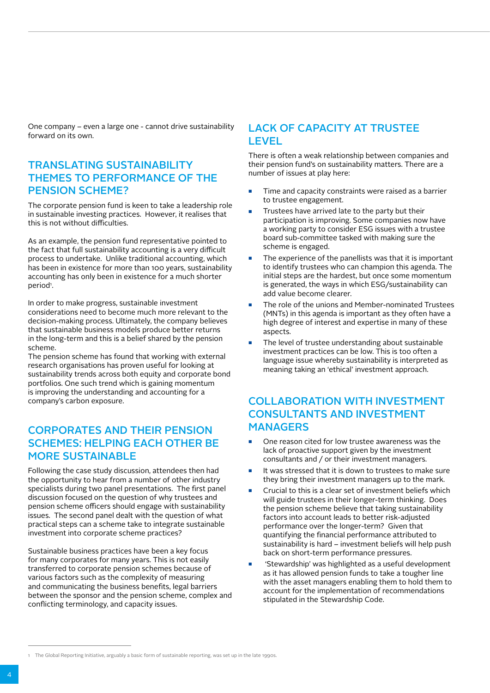One company – even a large one - cannot drive sustainability forward on its own.

#### TRANSLATING SUSTAINABILITY THEMES TO PERFORMANCE OF THE PENSION SCHEME?

The corporate pension fund is keen to take a leadership role in sustainable investing practices. However, it realises that this is not without difficulties.

As an example, the pension fund representative pointed to the fact that full sustainability accounting is a very difficult process to undertake. Unlike traditional accounting, which has been in existence for more than 100 years, sustainability accounting has only been in existence for a much shorter period<sup>1</sup>.

In order to make progress, sustainable investment considerations need to become much more relevant to the decision-making process. Ultimately, the company believes that sustainable business models produce better returns in the long-term and this is a belief shared by the pension scheme.

The pension scheme has found that working with external research organisations has proven useful for looking at sustainability trends across both equity and corporate bond portfolios. One such trend which is gaining momentum is improving the understanding and accounting for a company's carbon exposure.

## CORPORATES AND THEIR PENSION SCHEMES: HELPING EACH OTHER BE MORE SUSTAINABLE

Following the case study discussion, attendees then had the opportunity to hear from a number of other industry specialists during two panel presentations. The first panel discussion focused on the question of why trustees and pension scheme officers should engage with sustainability issues. The second panel dealt with the question of what practical steps can a scheme take to integrate sustainable investment into corporate scheme practices?

Sustainable business practices have been a key focus for many corporates for many years. This is not easily transferred to corporate pension schemes because of various factors such as the complexity of measuring and communicating the business benefits, legal barriers between the sponsor and the pension scheme, complex and conflicting terminology, and capacity issues.

#### LACK OF CAPACITY AT TRUSTEE LEVEL

There is often a weak relationship between companies and their pension fund's on sustainability matters. There are a number of issues at play here:

- Time and capacity constraints were raised as a barrier to trustee engagement.
- Trustees have arrived late to the party but their participation is improving. Some companies now have a working party to consider ESG issues with a trustee board sub-committee tasked with making sure the scheme is engaged.
- The experience of the panellists was that it is important to identify trustees who can champion this agenda. The initial steps are the hardest, but once some momentum is generated, the ways in which ESG/sustainability can add value become clearer.
- The role of the unions and Member-nominated Trustees (MNTs) in this agenda is important as they often have a high degree of interest and expertise in many of these aspects
- The level of trustee understanding about sustainable investment practices can be low. This is too often a language issue whereby sustainability is interpreted as meaning taking an 'ethical' investment approach.

## COLLABORATION WITH INVESTMENT CONSULTANTS AND INVESTMENT **MANAGERS**

- One reason cited for low trustee awareness was the lack of proactive support given by the investment consultants and / or their investment managers.
- It was stressed that it is down to trustees to make sure they bring their investment managers up to the mark.
- Crucial to this is a clear set of investment beliefs which will guide trustees in their longer-term thinking. Does the pension scheme believe that taking sustainability factors into account leads to better risk-adjusted performance over the longer-term? Given that quantifying the financial performance attributed to sustainability is hard – investment beliefs will help push back on short-term performance pressures.
- 'Stewardship' was highlighted as a useful development as it has allowed pension funds to take a tougher line with the asset managers enabling them to hold them to account for the implementation of recommendations stipulated in the Stewardship Code.

<sup>1</sup> The Global Reporting Initiative, arguably a basic form of sustainable reporting, was set up in the late 1990s.